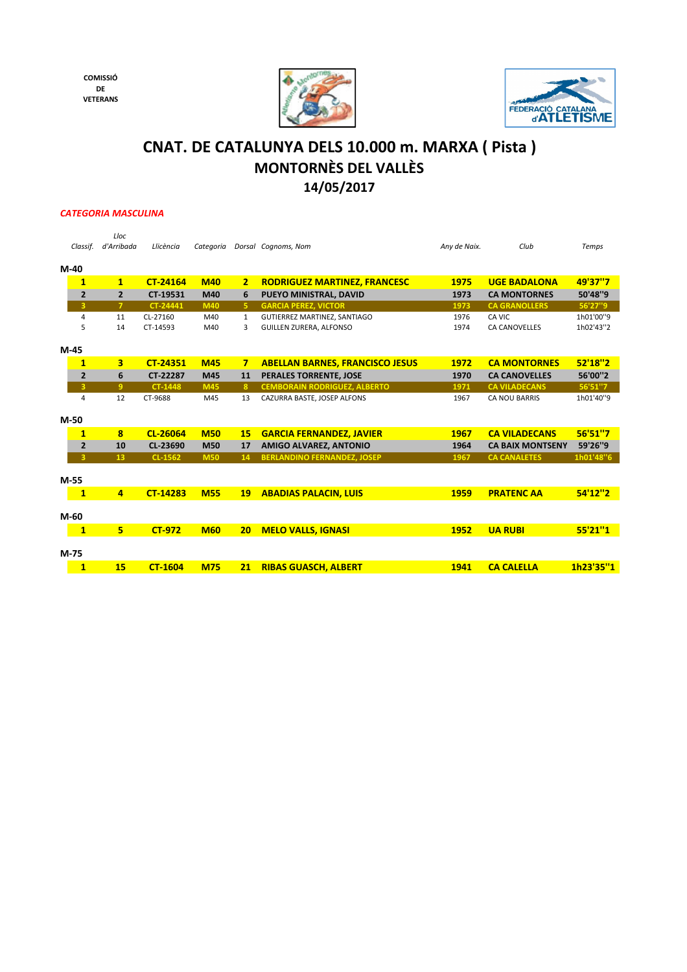**COMISSIÓ DE VETERANS**





## **14/05/2017 CNAT. DE CATALUNYA DELS 10.000 m. MARXA ( Pista ) MONTORNÈS DEL VALLÈS**

## *CATEGORIA MASCULINA*

| Classif.       | Lloc<br>d'Arribada | Llicència       | Categoria  |                | Dorsal Cognoms, Nom                    | Any de Naix. | Club                    | Temps     |
|----------------|--------------------|-----------------|------------|----------------|----------------------------------------|--------------|-------------------------|-----------|
| $M-40$         |                    |                 |            |                |                                        |              |                         |           |
| $\mathbf{1}$   | $\mathbf{1}$       | CT-24164        | <b>M40</b> | $\overline{2}$ | <b>RODRIGUEZ MARTINEZ, FRANCESC</b>    | 1975         | <b>UGE BADALONA</b>     | 49'37"7   |
| $\overline{2}$ | $\overline{2}$     | CT-19531        | M40        | 6              | PUEYO MINISTRAL, DAVID                 | 1973         | <b>CA MONTORNES</b>     | 50'48"9   |
| 3              | $\overline{7}$     | CT-24441        | M40        | 5.             | <b>GARCIA PEREZ, VICTOR</b>            | 1973         | <b>CA GRANOLLERS</b>    | 56'27"9   |
| $\overline{4}$ | 11                 | CL-27160        | M40        | $\mathbf{1}$   | GUTIERREZ MARTINEZ, SANTIAGO           | 1976         | CA VIC                  | 1h01'00"9 |
| 5              | 14                 | CT-14593        | M40        | 3              | <b>GUILLEN ZURERA, ALFONSO</b>         | 1974         | <b>CA CANOVELLES</b>    | 1h02'43"2 |
| $M-45$         |                    |                 |            |                |                                        |              |                         |           |
| $\mathbf{1}$   | 3                  | <b>CT-24351</b> | <b>M45</b> | $\overline{7}$ | <b>ABELLAN BARNES, FRANCISCO JESUS</b> | 1972         | <b>CA MONTORNES</b>     | 52'18"2   |
| $\overline{2}$ | 6                  | CT-22287        | M45        | 11             | <b>PERALES TORRENTE, JOSE</b>          | 1970         | <b>CA CANOVELLES</b>    | 56'00"2   |
| 3              | 9                  | <b>CT-1448</b>  | <b>M45</b> | $\mathbf{8}$   | <b>CEMBORAIN RODRIGUEZ, ALBERTO</b>    | 1971         | <b>CA VILADECANS</b>    | 56'51"7   |
| $\overline{4}$ | 12                 | CT-9688         | M45        | 13             | CAZURRA BASTE, JOSEP ALFONS            | 1967         | <b>CA NOU BARRIS</b>    | 1h01'40"9 |
|                |                    |                 |            |                |                                        |              |                         |           |
| $M-50$         |                    |                 |            |                |                                        |              |                         |           |
| $\mathbf{1}$   | 8                  | CL-26064        | <b>M50</b> | <b>15</b>      | <b>GARCIA FERNANDEZ. JAVIER</b>        | 1967         | <b>CA VILADECANS</b>    | 56'51"7   |
| $\overline{2}$ | 10                 | CL-23690        | <b>M50</b> | 17             | <b>AMIGO ALVAREZ, ANTONIO</b>          | 1964         | <b>CA BAIX MONTSENY</b> | 59'26"9   |
| 3              | 13 <sub>1</sub>    | <b>CL-1562</b>  | <b>M50</b> | 14             | <b>BERLANDINO FERNANDEZ, JOSEP</b>     | 1967         | <b>CA CANALETES</b>     | 1h01'48"6 |
|                |                    |                 |            |                |                                        |              |                         |           |
| $M-55$         |                    |                 |            |                |                                        |              |                         |           |
| $\mathbf{1}$   | $\overline{4}$     | <b>CT-14283</b> | <b>M55</b> | <b>19</b>      | <b>ABADIAS PALACIN, LUIS</b>           | 1959         | <b>PRATENC AA</b>       | 54'12"2   |
|                |                    |                 |            |                |                                        |              |                         |           |
| $M-60$         |                    |                 |            |                |                                        |              |                         |           |
| $\mathbf{1}$   | 5                  | <b>CT-972</b>   | <b>M60</b> | 20             | <b>MELO VALLS, IGNASI</b>              | 1952         | <b>UA RUBI</b>          | 55'21"1   |
| $M-75$         |                    |                 |            |                |                                        |              |                         |           |
| $\mathbf{1}$   | 15                 | <b>CT-1604</b>  | <b>M75</b> | 21             | <b>RIBAS GUASCH, ALBERT</b>            | 1941         | <b>CA CALELLA</b>       | 1h23'35"1 |
|                |                    |                 |            |                |                                        |              |                         |           |